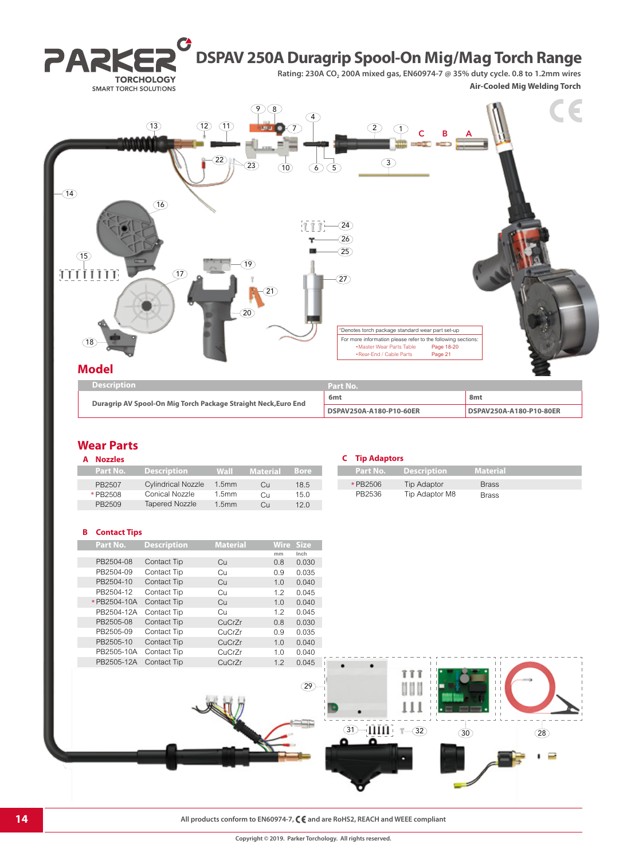

### **Wear Parts**

| A Nozzles |
|-----------|
| arti      |

| Part No. | <b>Description</b>        | Wall              | <b>Material</b> | <b>Bore</b> |
|----------|---------------------------|-------------------|-----------------|-------------|
| PB2507   | <b>Cylindrical Nozzle</b> | 1.5 <sub>mm</sub> | Cu              | 18.5        |
| * PB2508 | Conical Nozzle            | 1.5 <sub>mm</sub> | Cп              | 15.0        |
| PB2509   | <b>Tapered Nozzle</b>     | 1.5 <sub>mm</sub> | Cп              | 120         |
|          |                           |                   |                 |             |

| A Nozzles |                                      |               |               |      | <b>C</b> Tip Adaptors |                               |                 |
|-----------|--------------------------------------|---------------|---------------|------|-----------------------|-------------------------------|-----------------|
| Part No.  | Description                          | Wall          | Material Bore |      |                       | Part No.          Description | <b>Material</b> |
| PB2507    | <b>Cylindrical Nozzle</b>            | $1.5$ mm      | Cн            | 18.5 | * PB2506              | Tip Adaptor                   | <b>Brass</b>    |
| *PB2508   | Conical Nozzle                       | .5mm          | Cп            | 15.0 | PB2536                | Tip Adaptor M8                | <b>Brass</b>    |
| ------    | $\overline{\phantom{0}}$<br>$\cdots$ | $\rightarrow$ |               | .    |                       |                               |                 |

#### **B Contact Tips**

| Part No.    | <b>Description</b> | <b>Material</b> | <b>Wire</b> | <b>Size</b> |
|-------------|--------------------|-----------------|-------------|-------------|
|             |                    |                 | mm          | Inch        |
| PB2504-08   | Contact Tip        | Cu              | 0.8         | 0.030       |
| PB2504-09   | Contact Tip        | Сu              | 0.9         | 0.035       |
| PB2504-10   | Contact Tip        | Cu              | 1.0         | 0.040       |
| PB2504-12   | Contact Tip        | Cц              | 1.2         | 0.045       |
| *PB2504-10A | Contact Tip        | Cu              | 1.0         | 0.040       |
| PB2504-12A  | Contact Tip        | Сu              | 1.2         | 0.045       |
| PB2505-08   | Contact Tip        | CuCrZr          | 0.8         | 0.030       |
| PB2505-09   | Contact Tip        | CuCrZr          | 0.9         | 0.035       |
| PB2505-10   | Contact Tip        | CuCrZr          | 1.0         | 0.040       |
| PB2505-10A  | Contact Tip        | CuCrZr          | 1.0         | 0.040       |
| PB2505-12A  | <b>Contact Tip</b> | CuCrZr          | 1.2         | 0.045       |
|             |                    |                 |             |             |

## m MMM  $111$  $(31) - 1111$   $-32$   $(30)$  $(28)$ Ξ

**14 All products conform to EN60974-7, C**  $\epsilon$  and are RoHS2, REACH and WEEE compliant

29